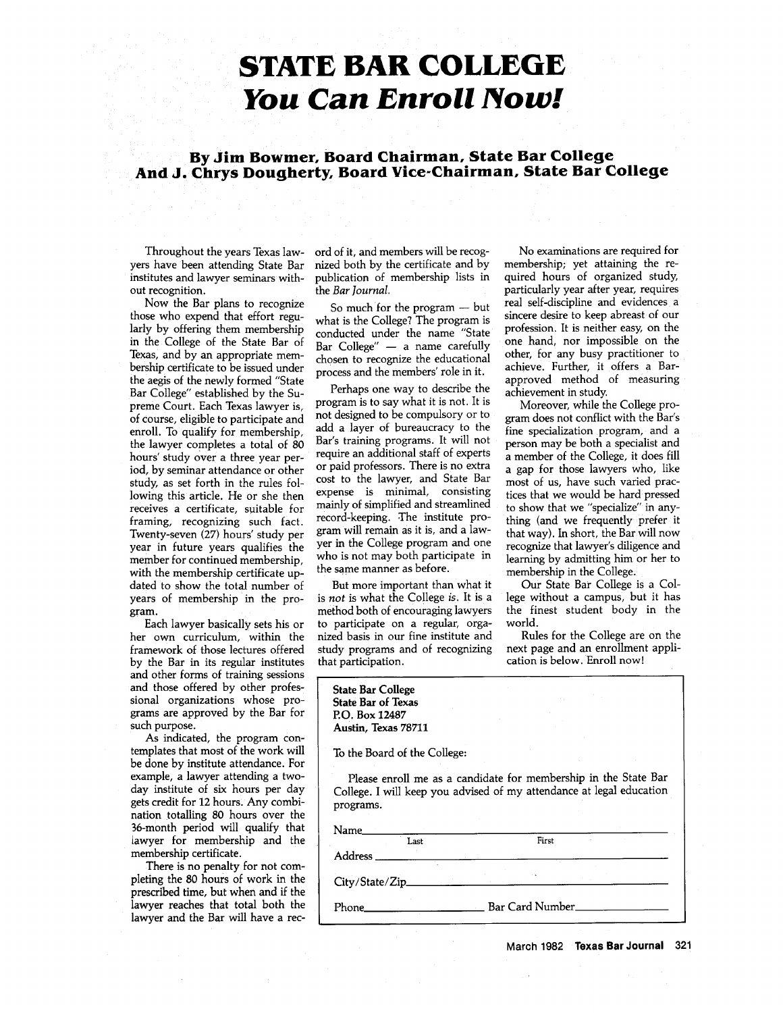## **STATE BAR COLLEGE** *You Can Enroll Now!*

**By Jim Bowmer, Board Chairman, State Bar College And J. Chrys Dougherty, Board Vice-Chairman, State Bar College**

Throughout the years Texas lawyers have been attending State Bar institutes and lawyer seminars without recognition.

Now the Bar plans to recognize those who expend that effort regularly by offering them membership in the College of the State Bar of Texas, and by an appropriate membership certificate to be issued under the aegis of the newly formed "State Bar College" established by the Supreme Court. Each Texas lawyer is, of course, eligible to participate and enroll. To qualify for membership, the lawyer completes a total of 80 hours' study over a three year period, by seminar attendance or other study, as set forth in the rules following this article. He or she then receives a certificate, suitable for framing, recognizing such fact. Twenty-seven (27) hours' study per year in future years qualifies the member for continued membership, with the membership certificate updated to show the total number of years of membership in the program.

Each lawyer basically sets his or her own curriculum, within the framework of those lectures offered by the Bar in its regular institutes and other forms of training sessions and those offered by other professional organizations whose programs are approved by the Bar for such purpose.

As indicated, the program contemplates that most of the work will be done by institute attendance. For example, a lawyer attending a twoday institute of six hours per day gets credit for 12 hours. Any combination totalling 80 hours over the 36-month period will qualify that iawyer for membership and the membership certificate.

There is no penalty for not completing the **80** hours of work in the prescribed time, but when and if the lawyer reaches that total both the lawyer and the Bar will have a record of it, and members will be recognized both by the certificate and by publication of membership lists in the *Bar Journal.*

So much for the program **-** but what is the College? The program is conducted under the name "State Bar College" **-** a name carefully chosen to recognize the educational process and the members' role in it.

Perhaps one way to describe the program is to say what it is not. It is not designed to be compulsory or to add a layer of bureaucracy to the Bar's training programs. It will not require an additional staff of experts or paid professors. There is no extra cost to the lawyer, and State Bar expense is minimal, consisting mainly of simplified and streamlined record-keeping. The institute program will remain as it is, and a lawyer in the College program and one who is not may both participate in the same manner as before.

But more important than what it is not is what the College *is.* It is a method both of encouraging lawyers to participate on a regular, organized basis in our fine institute and study programs and of recognizing that participation.

No examinations are required for membership; yet attaining the required hours of organized study, particularly year after year, requires real self-discipline and evidences a sincere desire to keep abreast of our profession. It is neither easy, on the one hand, nor impossible on the other, for any busy practitioner to achieve. Further, it offers a Barapproved method of measuring achievement in study.

Moreover, while the College program does not conflict with the Bar's fine specialization program, and a person may be both a specialist and a member of the College, it does fill a gap for those lawyers who, like most of us, have such varied practices that we would be hard pressed to show that we "specialize" in anything (and we frequently prefer it that way). In short, the Bar will now recognize that lawyer's diligence and learning by admitting him or her to membership in the College.

Our State Bar College is a College without a campus, but it has the finest student body in the world.

Rules for the College are on the next page and an enrollment application is below. Enroll now!

| <b>State Bar College</b><br><b>State Bar of Texas</b><br>P.O. Box 12487<br>Austin, Texas 78711                                                                |                 |
|---------------------------------------------------------------------------------------------------------------------------------------------------------------|-----------------|
| To the Board of the College:                                                                                                                                  |                 |
| Please enroll me as a candidate for membership in the State Bar<br>College. I will keep you advised of my attendance at legal education<br>programs.<br>Name_ |                 |
| I.ast                                                                                                                                                         | First           |
| Address                                                                                                                                                       |                 |
| City/State/Zip_                                                                                                                                               |                 |
| Phone                                                                                                                                                         | Bar Card Number |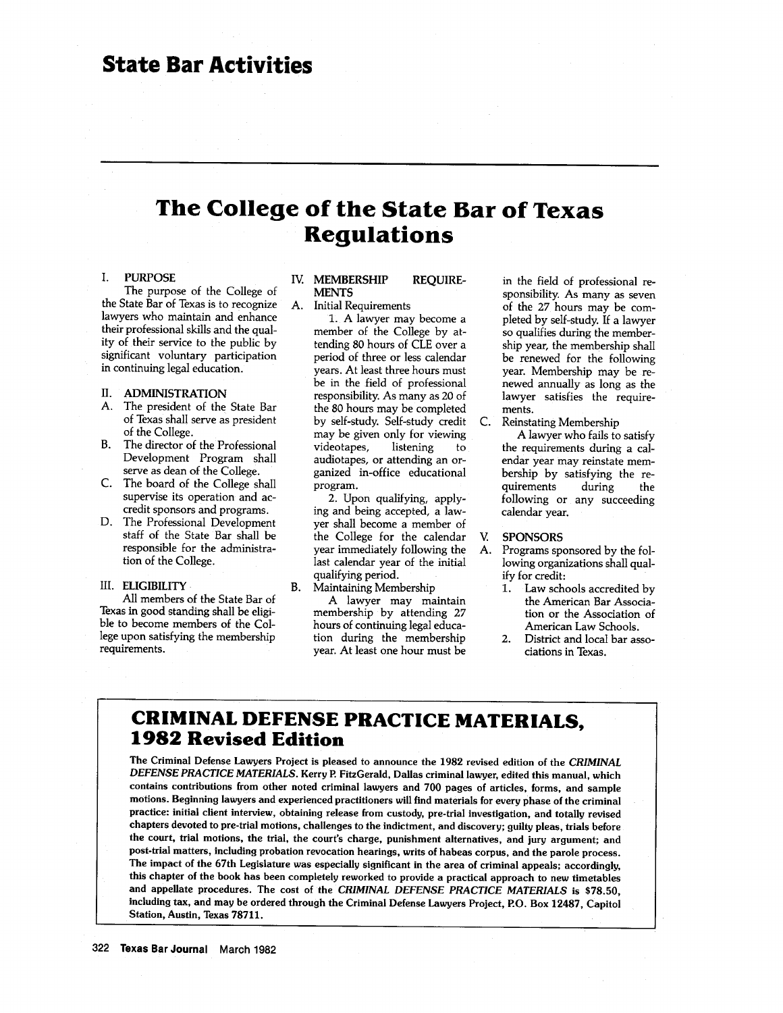### **The College of the State Bar of Texas Regulations**

### I. **PURPOSE**

**The** purpose **of** the College of the State Bar of Texas is to recognize lawyers who maintain and enhance their professional skills and the quality of their service to the public by significant voluntary participation in continuing legal education.

### II. ADMINISTRATION

- A. The president of the State Bar of Texas shall serve as president of the College.
- B. The director of the Professional Development Program shall serve as dean of the College.
- C. The board of the College shall supervise its operation and accredit sponsors and programs.
- D. The Professional Development staff of the State Bar shall be responsible for the administration of the College.

### III. ELIGIBILITY

All members of the State Bar of Texas in good standing shall be eligible to become members of the College upon satisfying the membership requirements.

### **IV. MEMBERSHIP REQUIRE-MENTS**

**A.** Initial Requirements

**1.** A lawyer may become a member of the College **by** attending **80** hours of **CLE** over a period of three or less calendar years. At least three hours must be in the field of professional responsibility. As many as 20 of the **80** hours may be completed **by** self-study. Self-study credit may be given only for viewing videotapes, listening to audiotapes, or attending an organized in-office educational program.

2. Upon qualifying, applying and being accepted, a lawyer shall become a member of the College for the calendar year immediately following the last calendar year of the initial qualifying period. B. Maintaining Membership

**A** lawyer may maintain membership **by** attending **27** hours of continuing legal education during the membership year. At least one hour must be

in the field of professional responsibility. As many as seven of the 27 hours may be completed by self-study. If a lawyer so qualifies during the membership year, the membership shall be renewed for the following year. Membership may be renewed annually as long as the lawyer satisfies the requirements.

C. Reinstating Membership

A lawyer who fails to satisfy the requirements during a calendar year may reinstate membership by satisfying the requirements following or any succeeding calendar year.

### **V. SPONSORS**

- **A.** Programs sponsored **by** the following organizations shall qual**ify** for credit:
	- **1.** Law schools accredited **by** the American Bar Association or the Association of American Law Schools.
	- 2. District and local bar associations in Texas.

### **CRIMINAL DEFENSE PRACTICE MATERIALS, 1982 Revised Edition**

**The** Criminal Defense Lawyers Project is pleased **to** announce the **1982** revised edition **of** the *CRIMINAL DEFENSE PRACTICE MATERIALS.* Kerry P. FitzGerald, Dallas criminal lawyer, edited this manual, which contains contributions from other noted criminal lawyers and **700** pages **of** articles, forms, and sample motions. Beginning lawyers and experienced practitioners will find materials **for** every phase **of** the criminal **practice: initial** client interview, obtaining release from custody, pre-trial investigation, and totally revised chapters devoted **to** pre-trial motions, challenges **to** the indictment, and discovery; guilty pleas, trials before the court, trial motions, the trial, the court's charge, punishment alternatives, and jury argument; and post-trial matters, including probation revocation **hearings, writs of** habeas corpus, and the parole process. The impact **of** the 67th Legislature was especially significant in the area **of** criminal appeals; accordingly, this chapter **of** the **book has been** completely reworked **to** provide a practical approach **to** new timetables **and** appellate procedures. The **cost of** the *CRIMINAL DEFENSE PRACTICE MATERIALS* is **\$78.50,** including **tax,** and may be ordered through the Criminal **Defense Lawyers** Project, P.O. **Box 12487,** Capitol Station, Austin, Texas **78711.**